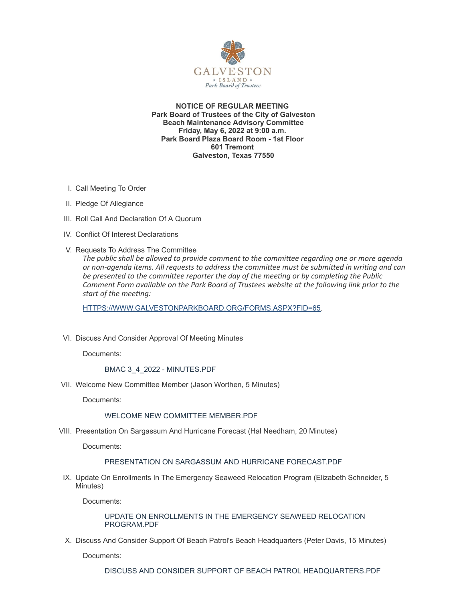

**NOTICE OF REGULAR MEETING Park Board of Trustees of the City of Galveston Beach Maintenance Advisory Committee Friday, May 6, 2022 at 9:00 a.m. Park Board Plaza Board Room - 1st Floor 601 Tremont Galveston, Texas 77550**

- I. Call Meeting To Order
- II. Pledge Of Allegiance
- III. Roll Call And Declaration Of A Quorum
- IV. Conflict Of Interest Declarations
- V. Requests To Address The Committee

*The public shall be allowed to provide comment to the committee regarding one or more agenda or non-agenda items. All requests to address the committee must be submitted in writing and can be presented to the committee reporter the day of the meeting or by completing the Public Comment Form available on the Park Board of Trustees website at the following link prior to the start of the meeting:*

[HTTPS://WWW.GALVESTONPARKBOARD.ORG/FORMS.ASPX?FID=65](https://www.galvestonparkboard.org/forms.aspx?FID=65)*.*

VI. Discuss And Consider Approval Of Meeting Minutes

Documents:

#### BMAC 3\_4\_2022 - [MINUTES.PDF](https://www.galvestonparkboard.org/AgendaCenter/ViewFile/Item/7682?fileID=11652)

VII. Welcome New Committee Member (Jason Worthen, 5 Minutes)

Documents:

#### WELCOME NEW COMMITTEE [MEMBER.PDF](https://www.galvestonparkboard.org/AgendaCenter/ViewFile/Item/7651?fileID=11639)

VIII. Presentation On Sargassum And Hurricane Forecast (Hal Needham, 20 Minutes)

Documents:

#### [PRESENTATION](https://www.galvestonparkboard.org/AgendaCenter/ViewFile/Item/7646?fileID=11654) ON SARGASSUM AND HURRICANE FORECAST.PDF

IX. Update On Enrollments In The Emergency Seaweed Relocation Program (Elizabeth Schneider, 5 Minutes)

Documents:

UPDATE ON [ENROLLMENTS](https://www.galvestonparkboard.org/AgendaCenter/ViewFile/Item/7650?fileID=11640) IN THE EMERGENCY SEAWEED RELOCATION PROGRAM.PDF

X. Discuss And Consider Support Of Beach Patrol's Beach Headquarters (Peter Davis, 15 Minutes)

Documents:

DISCUSS AND CONSIDER SUPPORT OF BEACH PATROL [HEADQUARTERS.PDF](https://www.galvestonparkboard.org/AgendaCenter/ViewFile/Item/7647?fileID=11642)